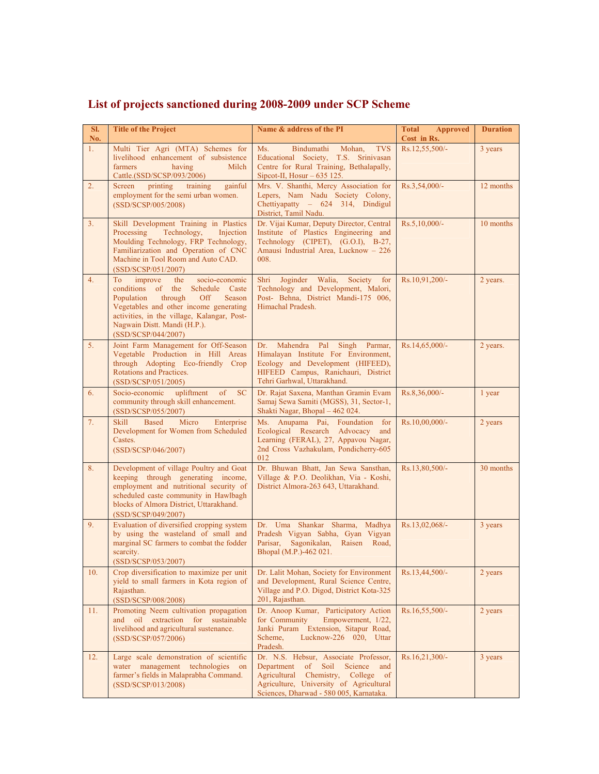| SI.<br>No.     | <b>Title of the Project</b>                                                                                                                                                                                                                                             | Name & address of the PI                                                                                                                                                                                                      | <b>Total</b><br><b>Approved</b><br>Cost in Rs. | <b>Duration</b> |
|----------------|-------------------------------------------------------------------------------------------------------------------------------------------------------------------------------------------------------------------------------------------------------------------------|-------------------------------------------------------------------------------------------------------------------------------------------------------------------------------------------------------------------------------|------------------------------------------------|-----------------|
| 1.             | Multi Tier Agri (MTA) Schemes for<br>livelihood enhancement of subsistence<br>farmers<br>having<br>Milch<br>Cattle.(SSD/SCSP/093/2006)                                                                                                                                  | <b>TVS</b><br>Ms.<br>Bindumathi<br>Mohan,<br>Educational Society, T.S. Srinivasan<br>Centre for Rural Training, Bethalapally,<br>Sipcot-II, Hosur $-635$ 125.                                                                 | Rs.12,55,500/-                                 | 3 years         |
| 2.             | Screen<br>training<br>gainful<br>printing<br>employment for the semi urban women.<br>(SSD/SCSP/005/2008)                                                                                                                                                                | Mrs. V. Shanthi, Mercy Association for<br>Lepers, Nam Nadu Society Colony,<br>Chettiyapatty - 624 314, Dindigul<br>District, Tamil Nadu.                                                                                      | Rs.3,54,000/-                                  | 12 months       |
| 3.             | Skill Development Training in Plastics<br>Processing<br>Technology,<br>Injection<br>Moulding Technology, FRP Technology,<br>Familiarization and Operation of CNC<br>Machine in Tool Room and Auto CAD.<br>(SSD/SCSP/051/2007)                                           | Dr. Vijai Kumar, Deputy Director, Central<br>Institute of Plastics Engineering and<br>Technology (CIPET), (G.O.I), B-27,<br>Amausi Industrial Area, Lucknow - 226<br>008.                                                     | Rs.5,10,000/-                                  | 10 months       |
| 4.             | improve<br>To<br>the<br>socio-economic<br>conditions of the<br>Schedule Caste<br>Population<br>through<br>Off<br>Season<br>Vegetables and other income generating<br>activities, in the village, Kalangar, Post-<br>Nagwain Distt. Mandi (H.P.).<br>(SSD/SCSP/044/2007) | Joginder Walia,<br>Society for<br>Shri<br>Technology and Development, Malori,<br>Post- Behna, District Mandi-175 006,<br>Himachal Pradesh.                                                                                    | Rs.10,91,200/-                                 | 2 years.        |
| 5 <sub>1</sub> | Joint Farm Management for Off-Season<br>Vegetable Production in Hill Areas<br>through Adopting Eco-friendly Crop<br>Rotations and Practices.<br>(SSD/SCSP/051/2005)                                                                                                     | Mahendra<br>Pal<br>Singh<br>Parmar,<br>Dr.<br>Himalayan Institute For Environment,<br>Ecology and Development (HIFEED),<br>HIFEED Campus, Ranichauri, District<br>Tehri Garhwal, Uttarakhand.                                 | Rs.14,65,000/-                                 | 2 years.        |
| 6.             | Socio-economic<br>upliftment<br>of<br><b>SC</b><br>community through skill enhancement.<br>(SSD/SCSP/055/2007)                                                                                                                                                          | Dr. Rajat Saxena, Manthan Gramin Evam<br>Samaj Sewa Samiti (MGSS), 31, Sector-1,<br>Shakti Nagar, Bhopal - 462 024.                                                                                                           | Rs.8,36,000/-                                  | 1 year          |
| 7.             | <b>Skill</b><br><b>Based</b><br>Micro<br>Enterprise<br>Development for Women from Scheduled<br>Castes.<br>(SSD/SCSP/046/2007)                                                                                                                                           | Ms. Anupama Pai, Foundation for<br>Ecological Research Advocacy<br>and<br>Learning (FERAL), 27, Appavou Nagar,<br>2nd Cross Vazhakulam, Pondicherry-605<br>012                                                                | Rs.10,00,000/-                                 | 2 years         |
| 8.             | Development of village Poultry and Goat<br>keeping through generating income,<br>employment and nutritional security of<br>scheduled caste community in Hawlbagh<br>blocks of Almora District, Uttarakhand.<br>(SSD/SCSP/049/2007)                                      | Dr. Bhuwan Bhatt, Jan Sewa Sansthan,<br>Village & P.O. Deolikhan, Via - Koshi,<br>District Almora-263 643, Uttarakhand.                                                                                                       | Rs.13,80,500/-                                 | 30 months       |
| 9.             | Evaluation of diversified cropping system<br>by using the wasteland of small and<br>marginal SC farmers to combat the fodder<br>scarcity.<br>(SSD/SCSP/053/2007)                                                                                                        | Dr. Uma Shankar Sharma, Madhya<br>Pradesh Vigyan Sabha, Gyan Vigyan<br>Parisar,<br>Sagonikalan, Raisen<br>Road,<br>Bhopal (M.P.)-462 021.                                                                                     | Rs.13,02,068/-                                 | 3 years         |
| 10.            | Crop diversification to maximize per unit<br>yield to small farmers in Kota region of<br>Rajasthan.<br>(SSD/SCSP/008/2008)                                                                                                                                              | Dr. Lalit Mohan, Society for Environment<br>and Development, Rural Science Centre,<br>Village and P.O. Digod, District Kota-325<br>201, Rajasthan.                                                                            | Rs.13,44,500/-                                 | 2 years         |
| 11.            | Promoting Neem cultivation propagation<br>oil extraction<br>for sustainable<br>and<br>livelihood and agricultural sustenance.<br>(SSD/SCSP/057/2006)                                                                                                                    | Dr. Anoop Kumar, Participatory Action<br>for Community<br>Empowerment, 1/22,<br>Janki Puram Extension, Sitapur Road,<br>Lucknow-226 020, Uttar<br>Scheme,<br>Pradesh.                                                         | Rs.16,55,500/-                                 | 2 years         |
| 12.            | Large scale demonstration of scientific<br>water management technologies<br>on<br>farmer's fields in Malaprabha Command.<br>(SSD/SCSP/013/2008)                                                                                                                         | Dr. N.S. Hebsur, Associate Professor,<br>of Soil<br>Science<br>Department<br>and<br>Chemistry,<br>College<br>$\circ$ of<br>Agricultural<br>Agriculture, University of Agricultural<br>Sciences, Dharwad - 580 005, Karnataka. | Rs.16,21,300/-                                 | 3 years         |

## **List of projects sanctioned during 2008-2009 under SCP Scheme**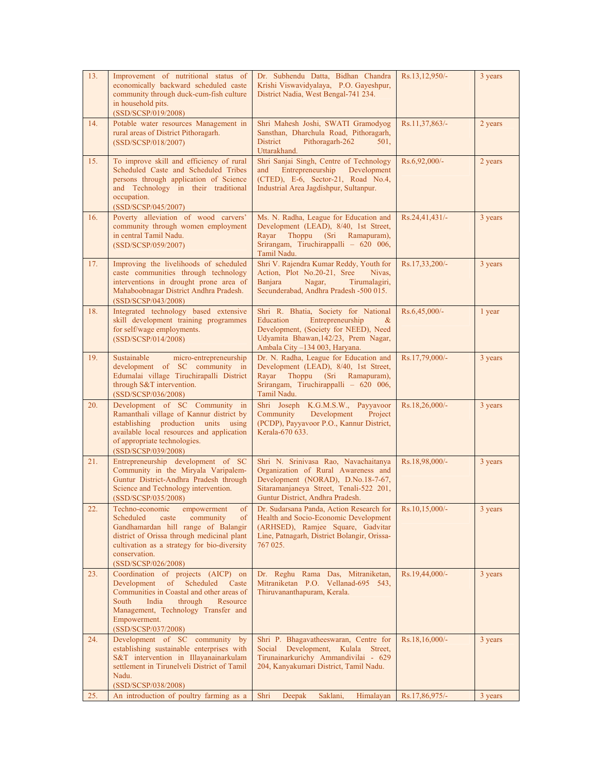| 13. | Improvement of nutritional status of<br>economically backward scheduled caste<br>community through duck-cum-fish culture<br>in household pits.<br>(SSD/SCSP/019/2008)                                                                                             | Dr. Subhendu Datta, Bidhan Chandra<br>Krishi Viswavidyalaya, P.O. Gayeshpur,<br>District Nadia, West Bengal-741 234.                                                                                 | Rs.13,12,950/-   | 3 years |
|-----|-------------------------------------------------------------------------------------------------------------------------------------------------------------------------------------------------------------------------------------------------------------------|------------------------------------------------------------------------------------------------------------------------------------------------------------------------------------------------------|------------------|---------|
| 14. | Potable water resources Management in<br>rural areas of District Pithoragarh.<br>(SSD/SCSP/018/2007)                                                                                                                                                              | Shri Mahesh Joshi, SWATI Gramodyog<br>Sansthan, Dharchula Road, Pithoragarh,<br><b>District</b><br>Pithoragarh-262<br>501.<br>Uttarakhand.                                                           | Rs.11,37,863/-   | 2 years |
| 15. | To improve skill and efficiency of rural<br>Scheduled Caste and Scheduled Tribes<br>persons through application of Science<br>and Technology in their traditional<br>occupation.<br>(SSD/SCSP/045/2007)                                                           | Shri Sanjai Singh, Centre of Technology<br>Entrepreneurship<br>Development<br>and<br>(CTED), E-6, Sector-21, Road No.4,<br>Industrial Area Jagdishpur, Sultanpur.                                    | Rs.6,92,000/-    | 2 years |
| 16. | Poverty alleviation of wood carvers'<br>community through women employment<br>in central Tamil Nadu.<br>(SSD/SCSP/059/2007)                                                                                                                                       | Ms. N. Radha, League for Education and<br>Development (LEAD), 8/40, 1st Street,<br>Rayar<br>Thoppu<br>(Sri)<br>Ramapuram),<br>Srirangam, Tiruchirappalli - 620 006,<br>Tamil Nadu.                   | Rs.24,41,431/-   | 3 years |
| 17. | Improving the livelihoods of scheduled<br>caste communities through technology<br>interventions in drought prone area of<br>Mahaboobnagar District Andhra Pradesh.<br>(SSD/SCSP/043/2008)                                                                         | Shri V. Rajendra Kumar Reddy, Youth for<br>Action, Plot No.20-21, Sree<br>Nivas.<br>Banjara<br>Nagar,<br>Tirumalagiri,<br>Secunderabad, Andhra Pradesh -500 015.                                     | Rs.17,33,200/-   | 3 years |
| 18. | Integrated technology based extensive<br>skill development training programmes<br>for self/wage employments.<br>(SSD/SCSP/014/2008)                                                                                                                               | Shri R. Bhatia, Society for National<br>Education<br>Entrepreneurship<br>$\alpha$<br>Development, (Society for NEED), Need<br>Udyamita Bhawan, 142/23, Prem Nagar,<br>Ambala City -134 003, Haryana. | Rs.6,45,000/-    | 1 year  |
| 19. | Sustainable<br>micro-entrepreneurship<br>development of SC community in<br>Edumalai village Tiruchirapalli District<br>through S&T intervention.<br>(SSD/SCSP/036/2008)                                                                                           | Dr. N. Radha, League for Education and<br>Development (LEAD), 8/40, 1st Street,<br>Rayar<br>Thoppu<br>(Sri)<br>Ramapuram),<br>Srirangam, Tiruchirappalli - 620 006,<br>Tamil Nadu.                   | Rs.17,79,000/-   | 3 years |
| 20. | Development of SC Community in<br>Ramanthali village of Kannur district by<br>establishing production units using<br>available local resources and application<br>of appropriate technologies.<br>(SSD/SCSP/039/2008)                                             | Shri Joseph K.G.M.S.W., Payyavoor<br>Community<br>Development<br>Project<br>(PCDP), Payyavoor P.O., Kannur District,<br>Kerala-670 633.                                                              | Rs.18,26,000/-   | 3 years |
| 21. | Entrepreneurship development of SC<br>Community in the Miryala Varipalem-<br>Guntur District-Andhra Pradesh through<br>Science and Technology intervention.<br>(SSD/SCSP/035/2008)                                                                                | Shri N. Srinivasa Rao, Navachaitanya<br>Organization of Rural Awareness and<br>Development (NORAD), D.No.18-7-67,<br>Sitaramanjaneya Street, Tenali-522 201,<br>Guntur District, Andhra Pradesh.     | Rs.18,98,000/-   | 3 years |
| 22. | Techno-economic<br>$\sigma f$<br>empowerment<br>Scheduled<br>caste<br>community<br>of<br>Gandhamardan hill range of Balangir<br>district of Orissa through medicinal plant<br>cultivation as a strategy for bio-diversity<br>conservation.<br>(SSD/SCSP/026/2008) | Dr. Sudarsana Panda, Action Research for Rs.10,15,000/-<br>Health and Socio-Economic Development<br>(ARHSED), Ramjee Square, Gadvitar<br>Line, Patnagarh, District Bolangir, Orissa-<br>767 025.     |                  | 3 years |
| 23. | Coordination of projects (AICP) on<br>Development<br>$\sigma$<br>Scheduled<br>Caste<br>Communities in Coastal and other areas of<br>South<br>India<br>through<br>Resource<br>Management, Technology Transfer and<br>Empowerment.<br>(SSD/SCSP/037/2008)           | Dr. Reghu Rama Das, Mitraniketan,<br>Mitraniketan P.O. Vellanad-695 543,<br>Thiruvananthapuram, Kerala.                                                                                              | Rs.19,44,000/-   | 3 years |
| 24. | Development of SC community<br>by<br>establishing sustainable enterprises with<br>S&T intervention in Illayanainarkulam<br>settlement in Tirunelveli District of Tamil<br>Nadu.<br>(SSD/SCSP/038/2008)                                                            | Shri P. Bhagavatheeswaran, Centre for<br>Social Development, Kulala Street,<br>Tirunainarkurichy Ammandivilai - 629<br>204, Kanyakumari District, Tamil Nadu.                                        | $Rs.18,16,000/-$ | 3 years |
| 25. | An introduction of poultry farming as a                                                                                                                                                                                                                           | Shri<br>Deepak<br>Saklani,<br>Himalayan                                                                                                                                                              | Rs.17,86,975/-   | 3 years |